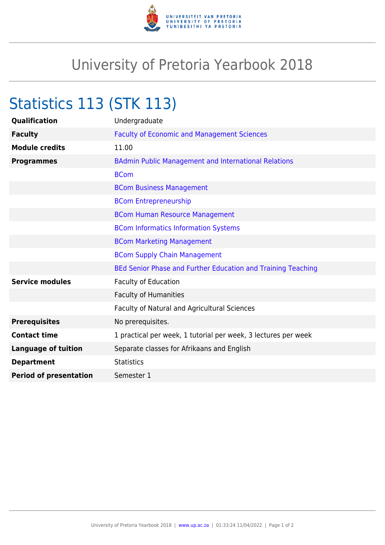

## University of Pretoria Yearbook 2018

## Statistics 113 (STK 113)

| Qualification                 | Undergraduate                                                  |
|-------------------------------|----------------------------------------------------------------|
| <b>Faculty</b>                | <b>Faculty of Economic and Management Sciences</b>             |
| <b>Module credits</b>         | 11.00                                                          |
| <b>Programmes</b>             | <b>BAdmin Public Management and International Relations</b>    |
|                               | <b>BCom</b>                                                    |
|                               | <b>BCom Business Management</b>                                |
|                               | <b>BCom Entrepreneurship</b>                                   |
|                               | <b>BCom Human Resource Management</b>                          |
|                               | <b>BCom Informatics Information Systems</b>                    |
|                               | <b>BCom Marketing Management</b>                               |
|                               | <b>BCom Supply Chain Management</b>                            |
|                               | BEd Senior Phase and Further Education and Training Teaching   |
| <b>Service modules</b>        | <b>Faculty of Education</b>                                    |
|                               | <b>Faculty of Humanities</b>                                   |
|                               | Faculty of Natural and Agricultural Sciences                   |
| <b>Prerequisites</b>          | No prerequisites.                                              |
| <b>Contact time</b>           | 1 practical per week, 1 tutorial per week, 3 lectures per week |
| <b>Language of tuition</b>    | Separate classes for Afrikaans and English                     |
| <b>Department</b>             | <b>Statistics</b>                                              |
| <b>Period of presentation</b> | Semester 1                                                     |
|                               |                                                                |